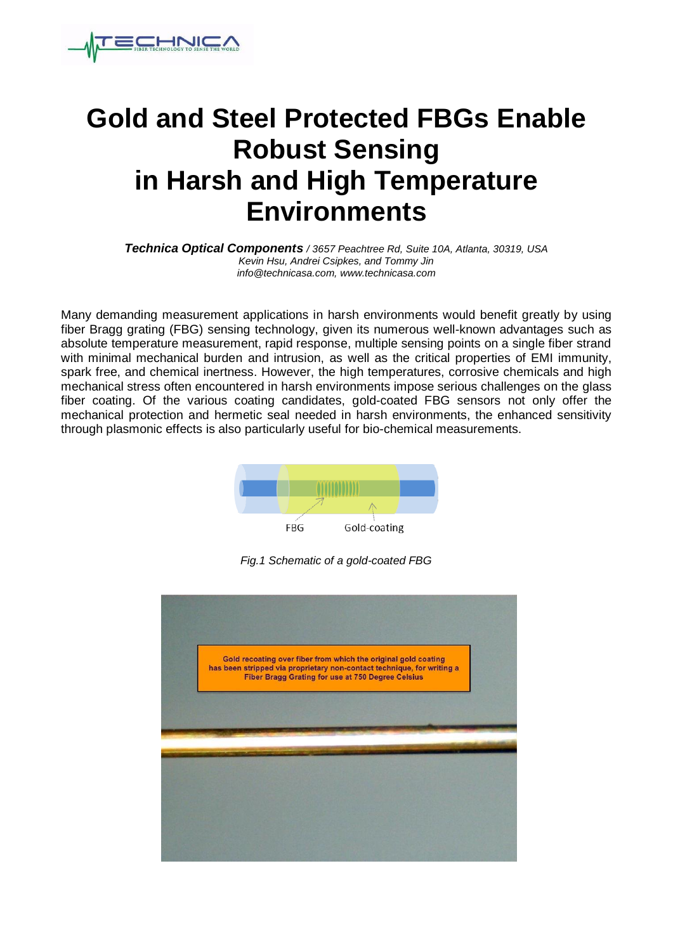

## **Gold and Steel Protected FBGs Enable Robust Sensing in Harsh and High Temperature Environments**

*Technica Optical Components / 3657 Peachtree Rd, Suite 10A, Atlanta, 30319, USA Kevin Hsu, Andrei Csipkes, and Tommy Jin info@technicasa.com, www.technicasa.com*

Many demanding measurement applications in harsh environments would benefit greatly by using fiber Bragg grating (FBG) sensing technology, given its numerous well-known advantages such as absolute temperature measurement, rapid response, multiple sensing points on a single fiber strand with minimal mechanical burden and intrusion, as well as the critical properties of EMI immunity, spark free, and chemical inertness. However, the high temperatures, corrosive chemicals and high mechanical stress often encountered in harsh environments impose serious challenges on the glass fiber coating. Of the various coating candidates, gold-coated FBG sensors not only offer the mechanical protection and hermetic seal needed in harsh environments, the enhanced sensitivity through plasmonic effects is also particularly useful for bio-chemical measurements.



*Fig.1 Schematic of a gold-coated FBG*

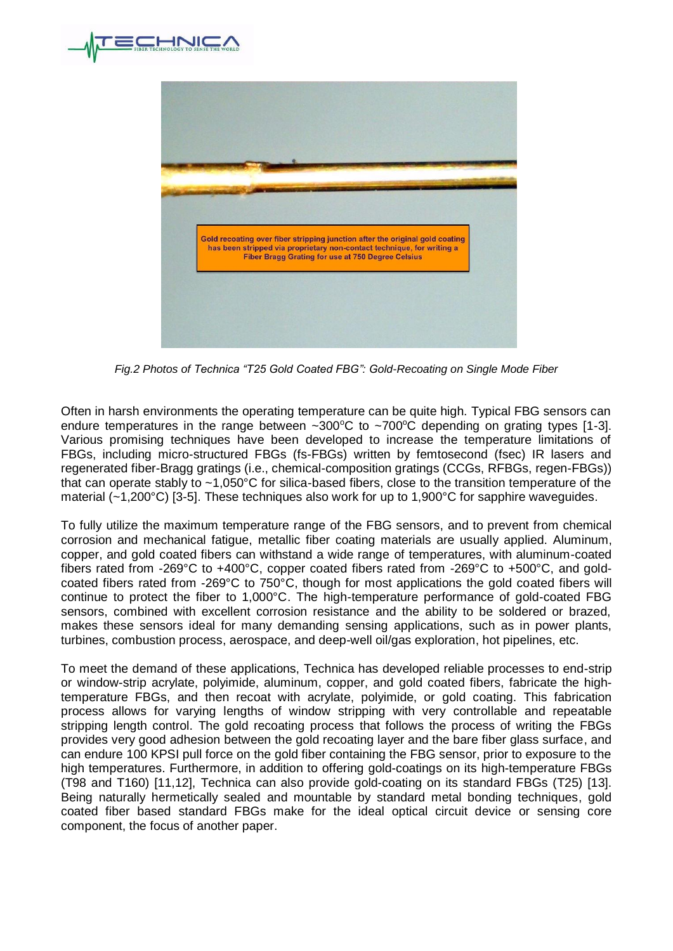



*Fig.2 Photos of Technica "T25 Gold Coated FBG": Gold-Recoating on Single Mode Fiber* 

Often in harsh environments the operating temperature can be quite high. Typical FBG sensors can endure temperatures in the range between  $\sim 300^{\circ}$ C to  $\sim 700^{\circ}$ C depending on grating types [1-3]. Various promising techniques have been developed to increase the temperature limitations of FBGs, including micro-structured FBGs (fs-FBGs) written by femtosecond (fsec) IR lasers and regenerated fiber-Bragg gratings (i.e., chemical-composition gratings (CCGs, RFBGs, regen-FBGs)) that can operate stably to ~1,050°C for silica-based fibers, close to the transition temperature of the material (~1,200°C) [3-5]. These techniques also work for up to 1,900°C for sapphire waveguides.

To fully utilize the maximum temperature range of the FBG sensors, and to prevent from chemical corrosion and mechanical fatigue, metallic fiber coating materials are usually applied. Aluminum, copper, and gold coated fibers can withstand a wide range of temperatures, with aluminum-coated fibers rated from -269°C to +400°C, copper coated fibers rated from -269°C to +500°C, and goldcoated fibers rated from -269°C to 750°C, though for most applications the gold coated fibers will continue to protect the fiber to 1,000°C. The high-temperature performance of gold-coated FBG sensors, combined with excellent corrosion resistance and the ability to be soldered or brazed, makes these sensors ideal for many demanding sensing applications, such as in power plants, turbines, combustion process, aerospace, and deep-well oil/gas exploration, hot pipelines, etc.

To meet the demand of these applications, Technica has developed reliable processes to end-strip or window-strip acrylate, polyimide, aluminum, copper, and gold coated fibers, fabricate the hightemperature FBGs, and then recoat with acrylate, polyimide, or gold coating. This fabrication process allows for varying lengths of window stripping with very controllable and repeatable stripping length control. The gold recoating process that follows the process of writing the FBGs provides very good adhesion between the gold recoating layer and the bare fiber glass surface, and can endure 100 KPSI pull force on the gold fiber containing the FBG sensor, prior to exposure to the high temperatures. Furthermore, in addition to offering gold-coatings on its high-temperature FBGs (T98 and T160) [11,12], Technica can also provide gold-coating on its standard FBGs (T25) [13]. Being naturally hermetically sealed and mountable by standard metal bonding techniques, gold coated fiber based standard FBGs make for the ideal optical circuit device or sensing core component, the focus of another paper.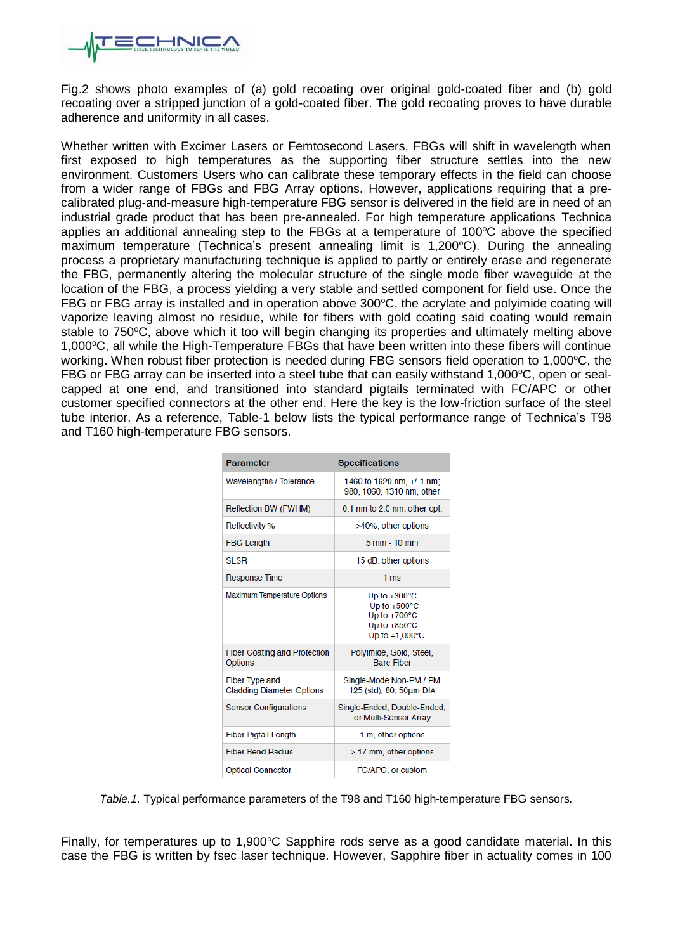

Fig.2 shows photo examples of (a) gold recoating over original gold-coated fiber and (b) gold recoating over a stripped junction of a gold-coated fiber. The gold recoating proves to have durable adherence and uniformity in all cases.

Whether written with Excimer Lasers or Femtosecond Lasers, FBGs will shift in wavelength when first exposed to high temperatures as the supporting fiber structure settles into the new environment. Customers Users who can calibrate these temporary effects in the field can choose from a wider range of FBGs and FBG Array options. However, applications requiring that a precalibrated plug-and-measure high-temperature FBG sensor is delivered in the field are in need of an industrial grade product that has been pre-annealed. For high temperature applications Technica applies an additional annealing step to the FBGs at a temperature of  $100^{\circ}$ C above the specified maximum temperature (Technica's present annealing limit is  $1,200^{\circ}$ C). During the annealing process a proprietary manufacturing technique is applied to partly or entirely erase and regenerate the FBG, permanently altering the molecular structure of the single mode fiber waveguide at the location of the FBG, a process yielding a very stable and settled component for field use. Once the FBG or FBG array is installed and in operation above  $300^{\circ}$ C, the acrylate and polyimide coating will vaporize leaving almost no residue, while for fibers with gold coating said coating would remain stable to 750°C, above which it too will begin changing its properties and ultimately melting above 1,000°C, all while the High-Temperature FBGs that have been written into these fibers will continue working. When robust fiber protection is needed during FBG sensors field operation to 1,000°C, the FBG or FBG array can be inserted into a steel tube that can easily withstand 1,000 $\degree$ C, open or sealcapped at one end, and transitioned into standard pigtails terminated with FC/APC or other customer specified connectors at the other end. Here the key is the low-friction surface of the steel tube interior. As a reference, Table-1 below lists the typical performance range of Technica's T98 and T160 high-temperature FBG sensors.

| Parameter                                                 | <b>Specifications</b>                                                                                                            |
|-----------------------------------------------------------|----------------------------------------------------------------------------------------------------------------------------------|
| Wavelengths / Tolerance                                   | 1460 to 1620 nm, +/-1 nm;<br>980, 1060, 1310 nm, other                                                                           |
| Reflection BW (FWHM)                                      | 0.1 nm to 2.0 nm; other opt.                                                                                                     |
| Reflectivity %                                            | >40%; other options                                                                                                              |
| <b>FBG Length</b>                                         | $5$ mm $-10$ mm                                                                                                                  |
| <b>SLSR</b>                                               | 15 dB; other options                                                                                                             |
| <b>Response Time</b>                                      | 1 <sub>ms</sub>                                                                                                                  |
| Maximum Temperature Options                               | Up to $+300^{\circ}$ C<br>Up to $+500^{\circ}$ C<br>Up to $+700^{\circ}$ C<br>Up to $+850^{\circ}$ C<br>Up to $+1.000^{\circ}$ C |
| <b>Fiber Coating and Protection</b><br>Options            | Polvimide, Gold, Steel,<br><b>Bare Fiber</b>                                                                                     |
| <b>Fiber Type and</b><br><b>Cladding Diameter Options</b> | Single-Mode Non-PM / PM<br>125 (std), 80, 50um DIA                                                                               |
| <b>Sensor Configurations</b>                              | Single-Ended, Double-Ended,<br>or Multi-Sensor Array                                                                             |
| <b>Fiber Pigtail Length</b>                               | 1 m, other options                                                                                                               |
| <b>Fiber Bend Radius</b>                                  | $>17$ mm, other options                                                                                                          |
| <b>Optical Connector</b>                                  | FC/APC, or custom                                                                                                                |

*Table.1.* Typical performance parameters of the T98 and T160 high-temperature FBG sensors*.*

Finally, for temperatures up to 1,900°C Sapphire rods serve as a good candidate material. In this case the FBG is written by fsec laser technique. However, Sapphire fiber in actuality comes in 100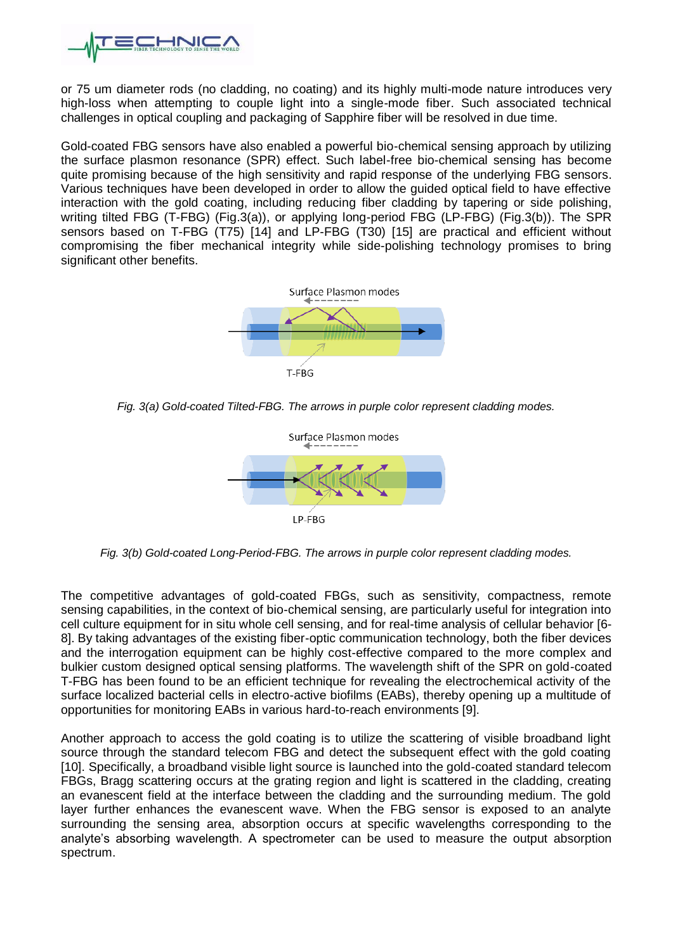

or 75 um diameter rods (no cladding, no coating) and its highly multi-mode nature introduces very high-loss when attempting to couple light into a single-mode fiber. Such associated technical challenges in optical coupling and packaging of Sapphire fiber will be resolved in due time.

Gold-coated FBG sensors have also enabled a powerful bio-chemical sensing approach by utilizing the surface plasmon resonance (SPR) effect. Such label-free bio-chemical sensing has become quite promising because of the high sensitivity and rapid response of the underlying FBG sensors. Various techniques have been developed in order to allow the guided optical field to have effective interaction with the gold coating, including reducing fiber cladding by tapering or side polishing, writing tilted FBG (T-FBG) (Fig.3(a)), or applying long-period FBG (LP-FBG) (Fig.3(b)). The SPR sensors based on T-FBG (T75) [14] and LP-FBG (T30) [15] are practical and efficient without compromising the fiber mechanical integrity while side-polishing technology promises to bring significant other benefits.



*Fig. 3(a) Gold-coated Tilted-FBG. The arrows in purple color represent cladding modes.*



*Fig. 3(b) Gold-coated Long-Period-FBG. The arrows in purple color represent cladding modes.*

The competitive advantages of gold-coated FBGs, such as sensitivity, compactness, remote sensing capabilities, in the context of bio-chemical sensing, are particularly useful for integration into cell culture equipment for in situ whole cell sensing, and for real-time analysis of cellular behavior [6- 8]. By taking advantages of the existing fiber-optic communication technology, both the fiber devices and the interrogation equipment can be highly cost-effective compared to the more complex and bulkier custom designed optical sensing platforms. The wavelength shift of the SPR on gold-coated T-FBG has been found to be an efficient technique for revealing the electrochemical activity of the surface localized bacterial cells in electro-active biofilms (EABs), thereby opening up a multitude of opportunities for monitoring EABs in various hard-to-reach environments [9].

Another approach to access the gold coating is to utilize the scattering of visible broadband light source through the standard telecom FBG and detect the subsequent effect with the gold coating [10]. Specifically, a broadband visible light source is launched into the gold-coated standard telecom FBGs, Bragg scattering occurs at the grating region and light is scattered in the cladding, creating an evanescent field at the interface between the cladding and the surrounding medium. The gold layer further enhances the evanescent wave. When the FBG sensor is exposed to an analyte surrounding the sensing area, absorption occurs at specific wavelengths corresponding to the analyte's absorbing wavelength. A spectrometer can be used to measure the output absorption spectrum.